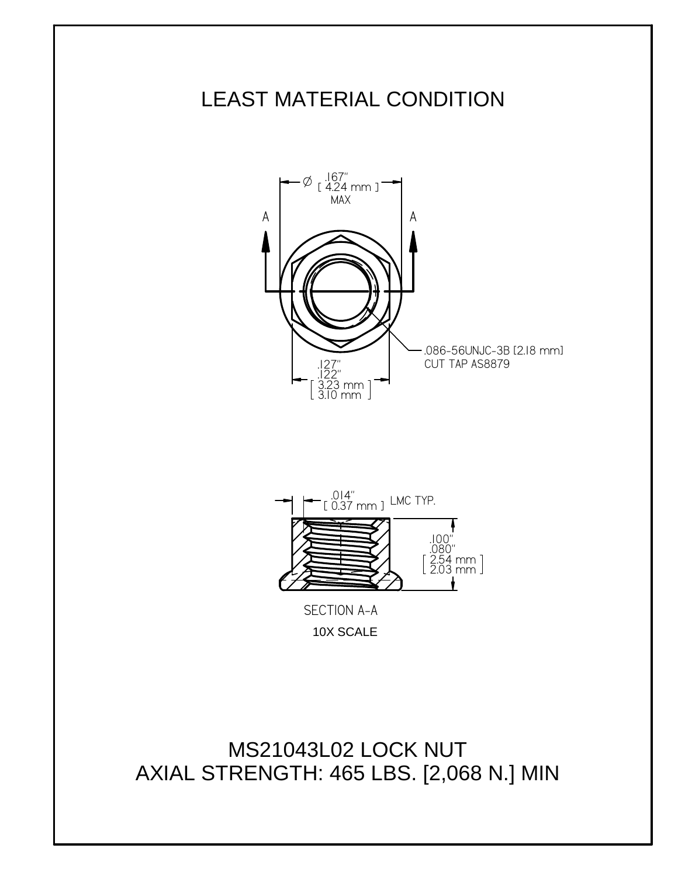



10X SCALE

MS21043L02 LOCK NUT AXIAL STRENGTH: 465 LBS. [2,068 N.] MIN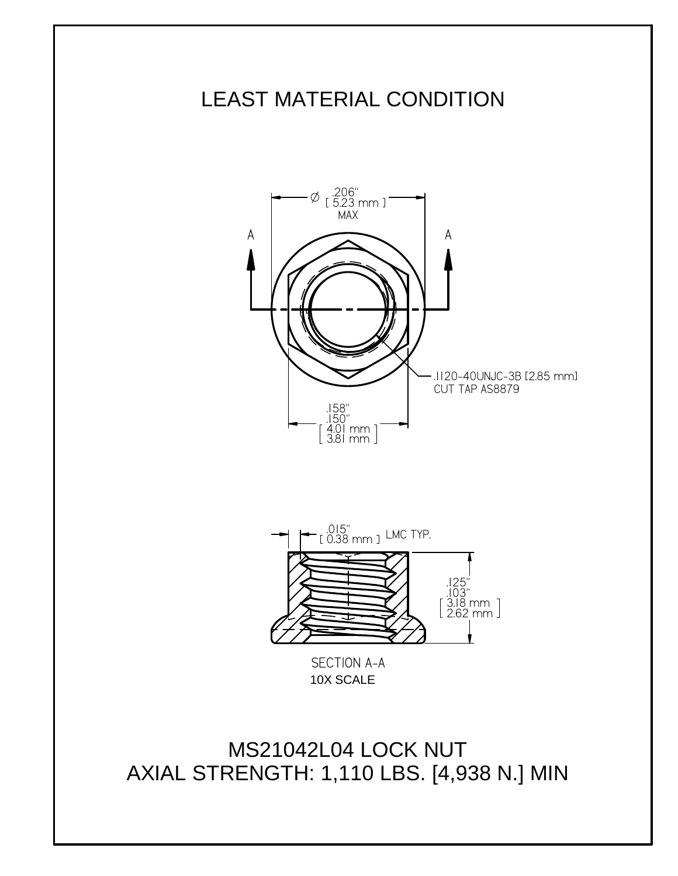



10X SCALE

MS21042L04 LOCK NUT AXIAL STRENGTH: 1,110 LBS. [4,938 N.] MIN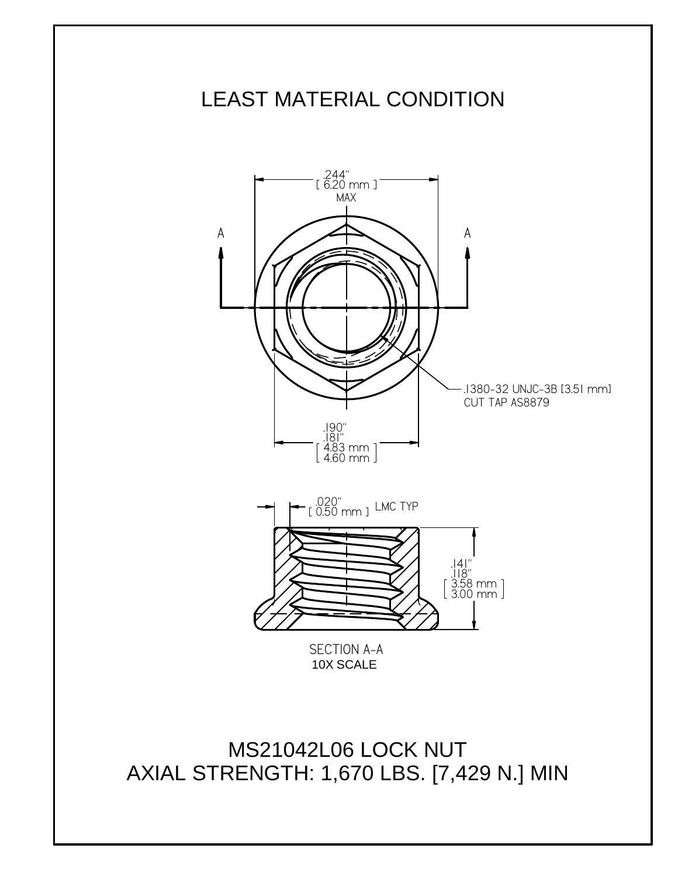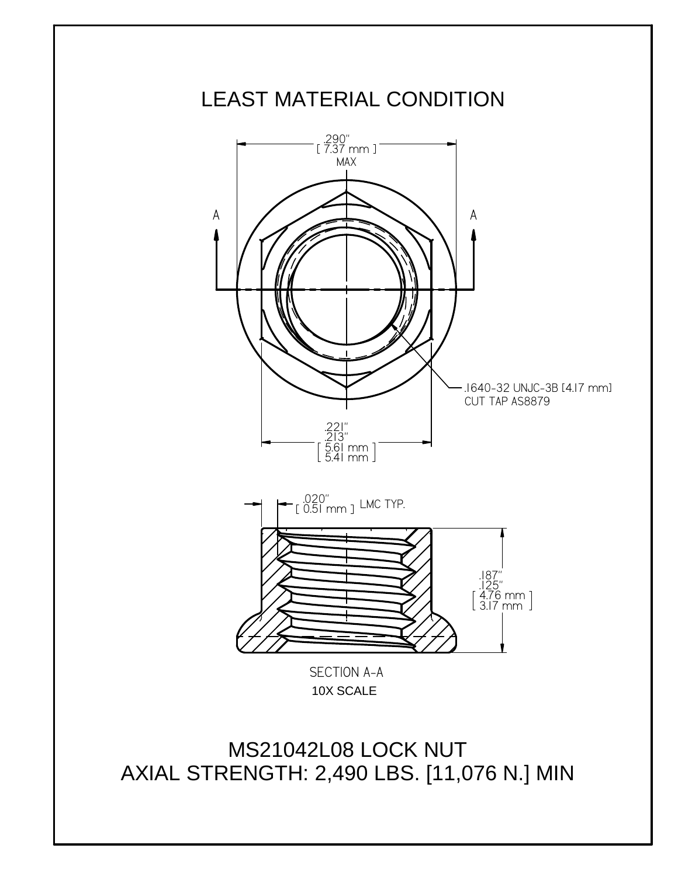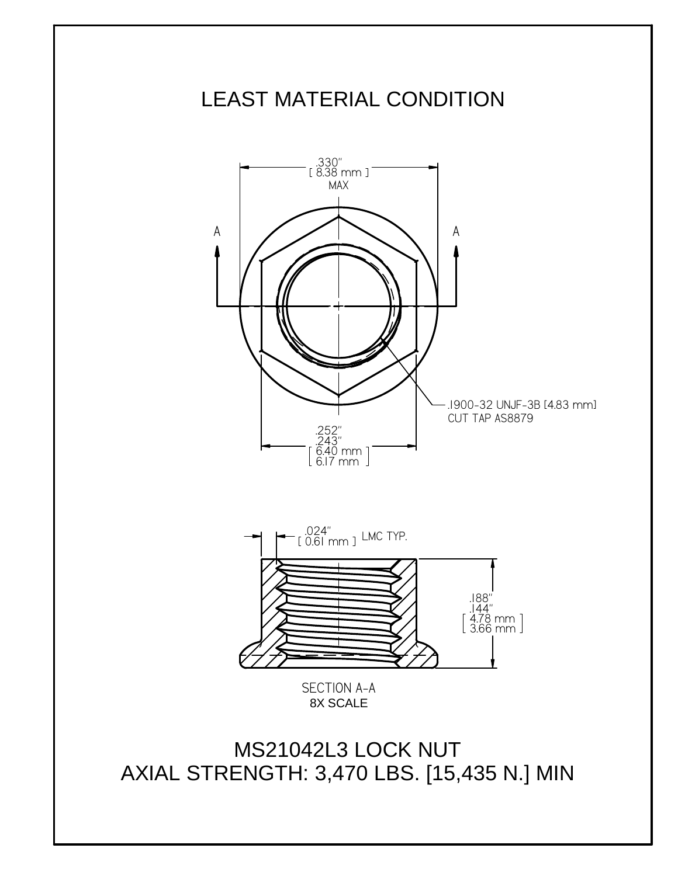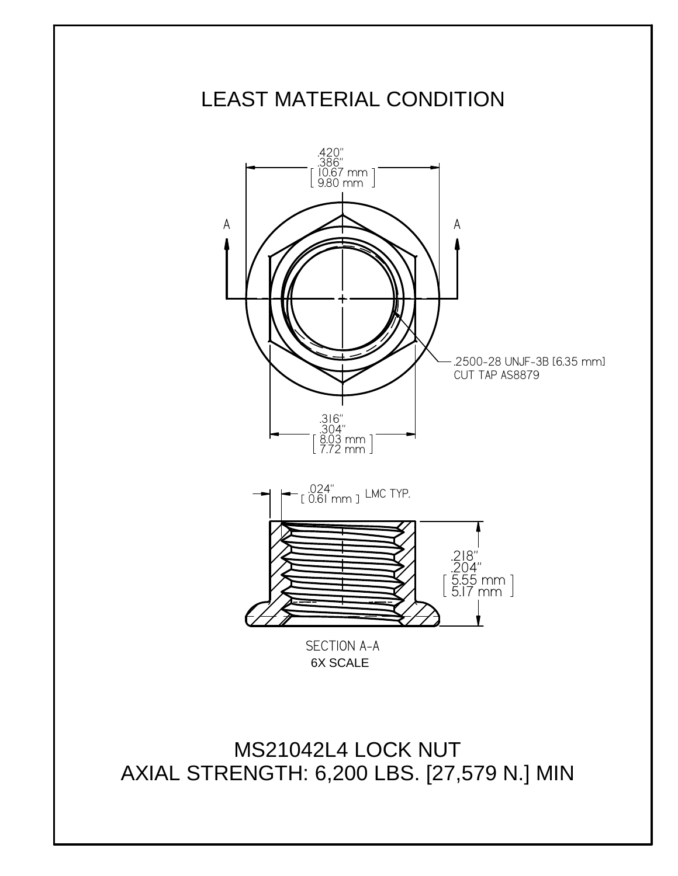

MS21042L4 LOCK NUT AXIAL STRENGTH: 6,200 LBS. [27,579 N.] MIN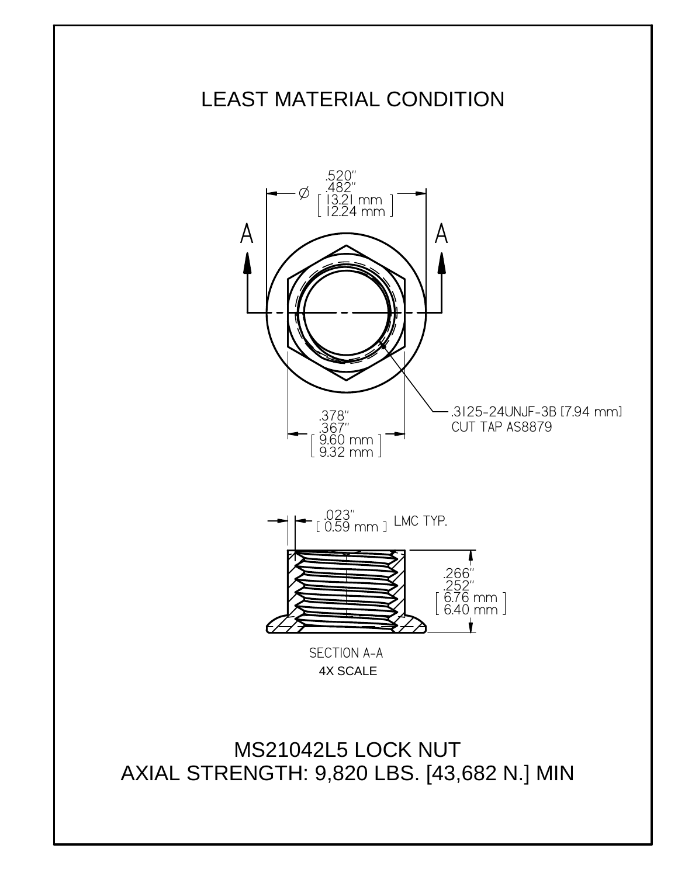

MS21042L5 LOCK NUT AXIAL STRENGTH: 9,820 LBS. [43,682 N.] MIN